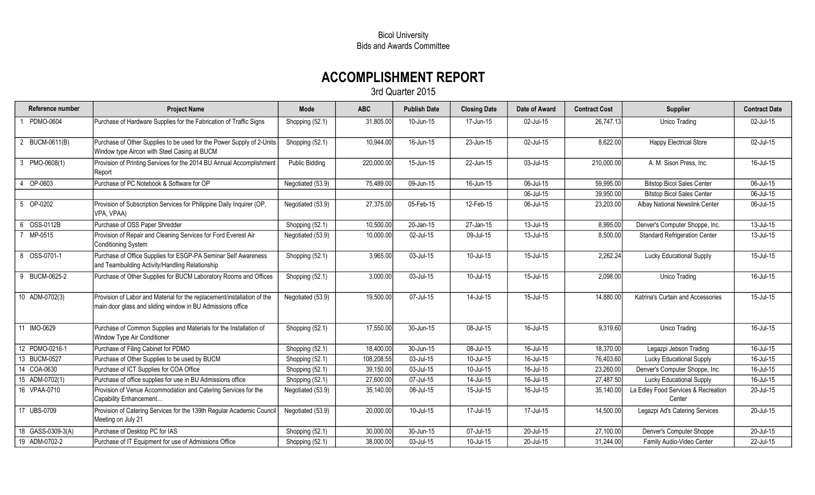## Bicol University Bids and Awards Committee

## ACCOMPLISHMENT REPORT

3rd Quarter 2015

| Reference number          | <b>Project Name</b>                                                                                                                   | Mode                  | <b>ABC</b> | <b>Publish Date</b> | <b>Closing Date</b> | Date of Award | <b>Contract Cost</b> | <b>Supplier</b>                               | <b>Contract Date</b> |
|---------------------------|---------------------------------------------------------------------------------------------------------------------------------------|-----------------------|------------|---------------------|---------------------|---------------|----------------------|-----------------------------------------------|----------------------|
| PDMO-0604                 | Purchase of Hardware Supplies for the Fabrication of Traffic Signs                                                                    | Shopping (52.1)       | 31,805.00  | 10-Jun-15           | 17-Jun-15           | 02-Jul-15     | 26,747.13            | Unico Trading                                 | 02-Jul-15            |
| 2 BUCM-0611(B)            | Purchase of Other Supplies to be used for the Power Supply of 2-Units<br>Window type Aircon with Steel Casing at BUCM                 | Shopping (52.1)       | 10,944.00  | 16-Jun-15           | 23-Jun-15           | 02-Jul-15     | 8,622.00             | <b>Happy Electrical Store</b>                 | 02-Jul-15            |
| 3 PMO-0608(1)             | Provision of Printing Services for the 2014 BU Annual Accomplishment<br>Report                                                        | <b>Public Bidding</b> | 220,000.00 | 15-Jun-15           | 22-Jun-15           | 03-Jul-15     | 210,000.00           | A. M. Sison Press, Inc.                       | 16-Jul-15            |
| OP-0603<br>$\overline{4}$ | Purchase of PC Notebook & Software for OP                                                                                             | Negotiated (53.9)     | 75,489.00  | 09-Jun-15           | 16-Jun-15           | 06-Jul-15     | 59,995.00            | <b>Bitstop Bicol Sales Center</b>             | 06-Jul-15            |
|                           |                                                                                                                                       |                       |            |                     |                     | 06-Jul-15     | 39,950.00            | <b>Bitstop Bicol Sales Center</b>             | 06-Jul-15            |
| 5 OP-0202                 | Provision of Subscription Services for Philippine Daily Inquirer (OP,<br>VPA, VPAA)                                                   | Negotiated (53.9)     | 27,375.00  | 05-Feb-15           | 12-Feb-15           | 06-Jul-15     | 23,203.00            | Albay National Newslink Center                | 06-Jul-15            |
| OSS-0112B<br>6            | Purchase of OSS Paper Shredder                                                                                                        | Shopping (52.1)       | 10,500.00  | 20-Jan-15           | 27-Jan-15           | 13-Jul-15     | 8,995.00             | Denver's Computer Shoppe, Inc.                | 13-Jul-15            |
| MP-0515                   | Provision of Repair and Cleaning Services for Ford Everest Air<br><b>Conditioning System</b>                                          | Negotiated (53.9)     | 10,000.00  | 02-Jul-15           | 09-Jul-15           | 13-Jul-15     | 8,500.00             | <b>Standard Refrigeration Center</b>          | 13-Jul-15            |
| 8 OSS-0701-1              | Purchase of Office Supplies for ESGP-PA Seminar Self Awareness<br>and Teambuilding Activity/Handling Relationship                     | Shopping (52.1)       | 3,965.00   | 03-Jul-15           | 10-Jul-15           | 15-Jul-15     | 2,262.24             | Lucky Educational Supply                      | 15-Jul-15            |
| 9 BUCM-0625-2             | Purchase of Other Supplies for BUCM Laboratory Rooms and Offices                                                                      | Shopping (52.1)       | 3,000.00   | 03-Jul-15           | 10-Jul-15           | 15-Jul-15     | 2,098.00             | Unico Trading                                 | 16-Jul-15            |
| 10 ADM-0702(3)            | Provision of Labor and Material for the replacement/installation of the<br>main door glass and sliding window in BU Admissions office | Negotiated (53.9)     | 19,500.00  | 07-Jul-15           | 14-Jul-15           | 15-Jul-15     | 14,880.00            | Katrina's Curtain and Accessories             | 15-Jul-15            |
| 11 IMO-0629               | Purchase of Common Supplies and Materials for the Installation of<br>Window Type Air Conditioner                                      | Shopping (52.1)       | 17,550.00  | 30-Jun-15           | 08-Jul-15           | 16-Jul-15     | 9,319.60             | Unico Trading                                 | 16-Jul-15            |
| 12 PDMO-0216-1            | Purchase of Filing Cabinet for PDMO                                                                                                   | Shopping (52.1)       | 18,400.00  | 30-Jun-15           | 08-Jul-15           | 16-Jul-15     | 18,370.00            | Legazpi Jebson Trading                        | 16-Jul-15            |
| 13 BUCM-0527              | Purchase of Other Supplies to be used by BUCM                                                                                         | Shopping (52.1)       | 108,208.55 | 03-Jul-15           | 10-Jul-15           | 16-Jul-15     | 76,403.60            | <b>Lucky Educational Supply</b>               | 16-Jul-15            |
| 14 COA-0630               | Purchase of ICT Supplies for COA Office                                                                                               | Shopping (52.1)       | 39,150.00  | 03-Jul-15           | 10-Jul-15           | 16-Jul-15     | 23,260.00            | Denver's Computer Shoppe, Inc.                | 16-Jul-15            |
| 15 ADM-0702(1)            | Purchase of office supplies for use in BU Admissions office                                                                           | Shopping (52.1)       | 27,600.00  | 07-Jul-15           | $14$ -Jul-15        | 16-Jul-15     | 27,487.50            | Lucky Educational Supply                      | 16-Jul-15            |
| 16 VPAA-0710              | Provision of Venue Accommodation and Catering Services for the<br>Capability Enhancement                                              | Negotiated (53.9)     | 35,140.00  | 08-Jul-15           | 15-Jul-15           | 16-Jul-15     | 35,140.00            | La Edley Food Services & Recreation<br>Center | 20-Jul-15            |
| 17 UBS-0709               | Provision of Catering Services for the 139th Regular Academic Council<br>Meeting on July 21                                           | Negotiated (53.9)     | 20,000.00  | 10-Jul-15           | 17-Jul-15           | 17-Jul-15     | 14,500.00            | Legazpi Ad's Catering Services                | 20-Jul-15            |
| 18 GASS-0309-3(A)         | Purchase of Desktop PC for IAS                                                                                                        | Shopping (52.1)       | 30,000.00  | 30-Jun-15           | 07-Jul-15           | 20-Jul-15     | 27,100.00            | Denver's Computer Shoppe                      | 20-Jul-15            |
| 19 ADM-0702-2             | Purchase of IT Equipment for use of Admissions Office                                                                                 | Shopping (52.1)       | 38,000.00  | 03-Jul-15           | 10-Jul-15           | 20-Jul-15     | 31,244.00            | Family Audio-Video Center                     | 22-Jul-15            |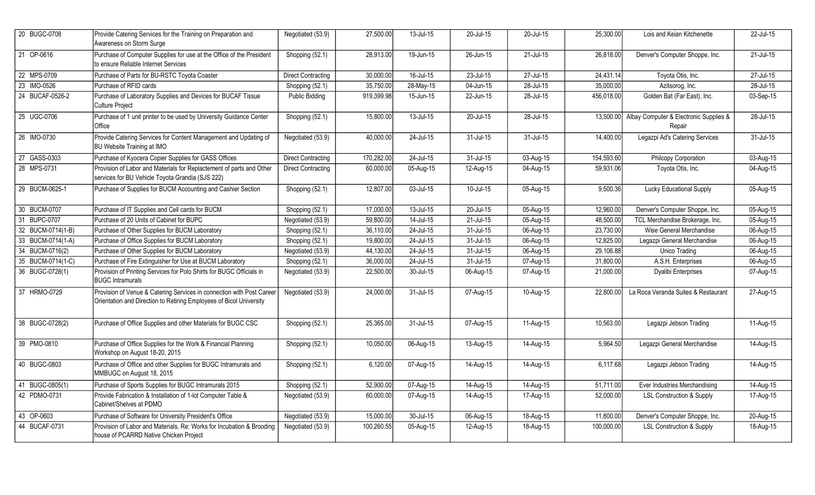| 20 BUGC-0708      | Provide Catering Services for the Training on Preparation and<br>Awareness on Storm Surge                                                    | Negotiated (53.9)         | 27,500.00  | 13-Jul-15 | 20-Jul-15 | 20-Jul-15               | 25,300.00  | Lois and Keian Kitchenette                                 | 22-Jul-15               |
|-------------------|----------------------------------------------------------------------------------------------------------------------------------------------|---------------------------|------------|-----------|-----------|-------------------------|------------|------------------------------------------------------------|-------------------------|
| 21 OP-0616        | Purchase of Computer Supplies for use at the Office of the President<br>to ensure Reliable Internet Services                                 | Shopping (52.1)           | 28,913.00  | 19-Jun-15 | 26-Jun-15 | 21-Jul-15               | 26,818.00  | Denver's Computer Shoppe, Inc.                             | 21-Jul-15               |
| 22 MPS-0709       | Purchase of Parts for BU-RSTC Toyota Coaster                                                                                                 | <b>Direct Contracting</b> | 30,000.00  | 16-Jul-15 | 23-Jul-15 | 27-Jul-15               | 24,431.14  | Toyota Otis, Inc.                                          | $27$ -Jul-15            |
| 23 IMO-0526       | Purchase of RFID cards                                                                                                                       | Shopping (52.1)           | 35,750.00  | 28-May-15 | 04-Jun-15 | 28-Jul-15               | 35,000.00  | Azitsorog, Inc.                                            | 28-Jul-15               |
| 24 BUCAF-0526-2   | Purchase of Laboratory Supplies and Devices for BUCAF Tissue<br>Culture Project                                                              | <b>Public Bidding</b>     | 919,399.98 | 15-Jun-15 | 22-Jun-15 | 28-Jul-15               | 456,018.00 | Golden Bat (Far East), Inc.                                | 03-Sep-15               |
| 25 UGC-0706       | Purchase of 1 unit printer to be used by University Guidance Center<br>Office                                                                | Shopping (52.1)           | 15,800.00  | 13-Jul-15 | 20-Jul-15 | 28-Jul-15               |            | 13,500.00 Albay Computer & Electronic Supplies &<br>Repair | 28-Jul-15               |
| 26 IMO-0730       | Provide Catering Services for Content Management and Updating of<br>BU Website Training at IMO                                               | Negotiated (53.9)         | 40,000.00  | 24-Jul-15 | 31-Jul-15 | 31-Jul-15               | 14,400.00  | Legazpi Ad's Catering Services                             | 31-Jul-15               |
| 27 GASS-0303      | Purchase of Kyocera Copier Supplies for GASS Offices                                                                                         | <b>Direct Contracting</b> | 170,282.00 | 24-Jul-15 | 31-Jul-15 | 03-Aug-15               | 154,593.60 | Philcopy Corporation                                       | 03-Aug-15               |
| 28 MPS-0731       | Provision of Labor and Materials for Replactement of parts and Other<br>services for BU Vehicle Toyota Grandia (SJS 222)                     | <b>Direct Contracting</b> | 60,000.00  | 05-Aug-15 | 12-Aug-15 | 04-Aug-15               | 59,931.06  | Toyota Otis, Inc.                                          | 04-Aug-15               |
| 29 BUCM-0625-1    | Purchase of Supplies for BUCM Accounting and Cashier Section                                                                                 | Shopping (52.1)           | 12,807.00  | 03-Jul-15 | 10-Jul-15 | 05-Aug-15               | 9,500.36   | Lucky Educational Supply                                   | 05-Aug-15               |
| 30 BUCM-0707      | Purchase of IT Supplies and Cell cards for BUCM                                                                                              | Shopping (52.1)           | 17,000.00  | 13-Jul-15 | 20-Jul-15 | 05-Aug-15               | 12,960.00  | Denver's Computer Shoppe, Inc.                             | 05-Aug-15               |
| 31 BUPC-0707      | Purchase of 20 Units of Cabinet for BUPC                                                                                                     | Negotiated (53.9)         | 59,800.00  | 14-Jul-15 | 21-Jul-15 | 05-Aug-15               | 48,500.00  | TCL Merchandise Brokerage, Inc.                            | $05$ -Aug-15            |
| 32 BUCM-0714(1-B) | Purchase of Other Supplies for BUCM Laboratory                                                                                               | Shopping (52.1)           | 36,110.00  | 24-Jul-15 | 31-Jul-15 | $\overline{0}$ 6-Aug-15 | 23,730.00  | Wise General Merchandise                                   | $\overline{06}$ -Aug-15 |
| 33 BUCM-0714(1-A) | Purchase of Office Supplies for BUCM Laboratory                                                                                              | Shopping (52.1)           | 19,800.00  | 24-Jul-15 | 31-Jul-15 | 06-Aug-15               | 12,825.00  | Legazpi General Merchandise                                | 06-Aug-15               |
| 34 BUCM-0716(2)   | Purchase of Other Supplies for BUCM Laboratory                                                                                               | Negotiated (53.9)         | 44,130.00  | 24-Jul-15 | 31-Jul-15 | 06-Aug-15               | 29,106.88  | Unico Trading                                              | 06-Aug-15               |
| 35 BUCM-0714(1-C) | Purchase of Fire Extinguisher for Use at BUCM Laboratory                                                                                     | Shopping (52.1)           | 36,000.00  | 24-Jul-15 | 31-Jul-15 | 07-Aug-15               | 31,800.00  | A.S.H. Enterprises                                         | 06-Aug-15               |
| 36 BUGC-0728(1)   | Provision of Printing Services for Polo Shirts for BUGC Officials in<br><b>BUGC Intramurals</b>                                              | Negotiated (53.9)         | 22,500.00  | 30-Jul-15 | 06-Aug-15 | 07-Aug-15               | 21,000.00  | <b>Dyalibi Enterprises</b>                                 | 07-Aug-15               |
| 37 HRMO-0729      | Provision of Venue & Catering Services in connection with Post Career<br>Orientation and Direction to Retiring Employees of Bicol University | Negotiated (53.9)         | 24,000.00  | 31-Jul-15 | 07-Aug-15 | 10-Aug-15               | 22,800.00  | La Roca Veranda Suites & Restaurant                        | 27-Aug-15               |
| 38 BUGC-0728(2)   | Purchase of Office Supplies and other Materials for BUGC CSC                                                                                 | Shopping (52.1)           | 25,365.00  | 31-Jul-15 | 07-Aug-15 | 11-Aug-15               | 10,563.00  | Legazpi Jebson Trading                                     | 11-Aug-15               |
| 39 PMO-0810       | Purchase of Office Supplies for the Work & Financial Planning<br>Workshop on August 18-20, 2015                                              | Shopping (52.1)           | 10,050.00  | 06-Aug-15 | 13-Aug-15 | 14-Aug-15               | 5,964.50   | Legazpi General Merchandise                                | 14-Aug-15               |
| 40 BUGC-0803      | Purchase of Office and other Supplies for BUGC Intramurals and<br>MMBUGC on August 18, 2015                                                  | Shopping (52.1)           | 6,120.00   | 07-Aug-15 | 14-Aug-15 | 14-Aug-15               | 6,117.68   | Legazpi Jebson Trading                                     | 14-Aug-15               |
| 41 BUGC-0805(1)   | Purchase of Sports Supplies for BUGC Intramurals 2015                                                                                        | Shopping (52.1)           | 52,900.00  | 07-Aug-15 | 14-Aug-15 | 14-Aug-15               | 51,711.00  | Ever Industries Merchandising                              | 14-Aug-15               |
| 42 PDMO-0731      | Provide Fabrication & Installation of 1-lot Computer Table &<br>Cabinet/Shelves at PDMO                                                      | Negotiated (53.9)         | 60,000.00  | 07-Aug-15 | 14-Aug-15 | 17-Aug-15               | 52,000.00  | <b>LSL Construction &amp; Supply</b>                       | 17-Aug-15               |
| 43 OP-0603        | Purchase of Software for University President's Office                                                                                       | Negotiated (53.9)         | 15,000.00  | 30-Jul-15 | 06-Aug-15 | 18-Aug-15               | 11,800.00  | Denver's Computer Shoppe, Inc.                             | 20-Aug-15               |
| 44 BUCAF-0731     | Provision of Labor and Materials, Re: Works for Incubation & Brooding<br>house of PCARRD Native Chicken Project                              | Negotiated (53.9)         | 100,260.55 | 05-Aug-15 | 12-Aug-15 | 18-Aug-15               | 100,000.00 | <b>LSL Construction &amp; Supply</b>                       | $18-Aug-15$             |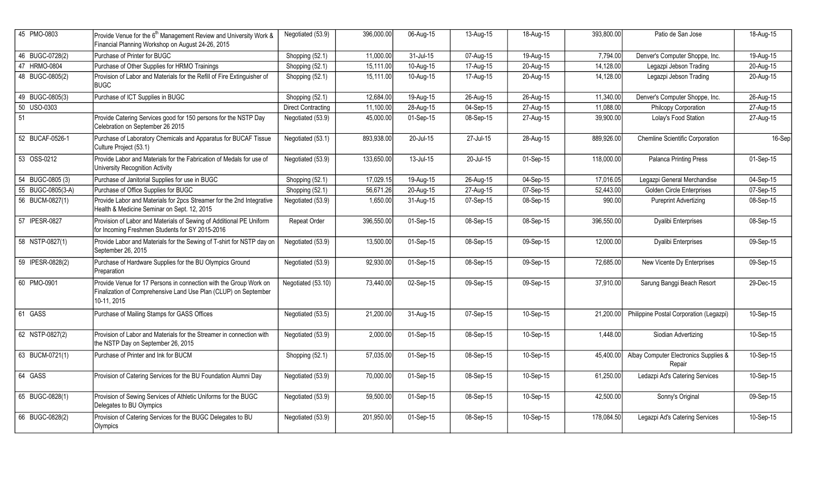| 45 PMO-0803       | Provide Venue for the 6 <sup>th</sup> Management Review and University Work &<br>Financial Planning Workshop on August 24-26, 2015                  | Negotiated (53.9)         | 396,000.00 | 06-Aug-15 | 13-Aug-15 | 18-Aug-15 | 393,800.00 | Patio de San Jose                               | 18-Aug-15   |
|-------------------|-----------------------------------------------------------------------------------------------------------------------------------------------------|---------------------------|------------|-----------|-----------|-----------|------------|-------------------------------------------------|-------------|
| 46 BUGC-0728(2)   | Purchase of Printer for BUGC                                                                                                                        | Shopping (52.1)           | 11,000.00  | 31-Jul-15 | 07-Aug-15 | 19-Aug-15 | 7,794.00   | Denver's Computer Shoppe, Inc.                  | 19-Aug-15   |
| 47 HRMO-0804      | Purchase of Other Supplies for HRMO Trainings                                                                                                       | Shopping (52.1)           | 15,111.00  | 10-Aug-15 | 17-Aug-15 | 20-Aug-15 | 14,128.00  | Legazpi Jebson Trading                          | 20-Aug-15   |
| 48 BUGC-0805(2)   | Provision of Labor and Materials for the Refill of Fire Extinguisher of<br><b>BUGC</b>                                                              | Shopping (52.1)           | 15,111.00  | 10-Aug-15 | 17-Aug-15 | 20-Aug-15 | 14,128.00  | Legazpi Jebson Trading                          | 20-Aug-15   |
| 49 BUGC-0805(3)   | Purchase of ICT Supplies in BUGC                                                                                                                    | Shopping (52.1)           | 12,684.00  | 19-Aug-15 | 26-Aug-15 | 26-Aug-15 | 11,340.00  | Denver's Computer Shoppe, Inc.                  | 26-Aug-15   |
| 50 USO-0303       |                                                                                                                                                     | <b>Direct Contracting</b> | 11,100.00  | 28-Aug-15 | 04-Sep-15 | 27-Aug-15 | 11,088.00  | Philcopy Corporation                            | 27-Aug-15   |
| 51                | Provide Catering Services good for 150 persons for the NSTP Day<br>Celebration on September 26 2015                                                 | Negotiated (53.9)         | 45,000.00  | 01-Sep-15 | 08-Sep-15 | 27-Aug-15 | 39,900.00  | Lolay's Food Station                            | 27-Aug-15   |
| 52 BUCAF-0526-1   | Purchase of Laboratory Chemicals and Apparatus for BUCAF Tissue<br>Culture Project (53.1)                                                           | Negotiated (53.1)         | 893,938.00 | 20-Jul-15 | 27-Jul-15 | 28-Aug-15 | 889,926.00 | <b>Chemline Scientific Corporation</b>          | 16-Sep      |
| 53 OSS-0212       | Provide Labor and Materials for the Fabrication of Medals for use of<br>University Recognition Activity                                             | Negotiated (53.9)         | 133,650.00 | 13-Jul-15 | 20-Jul-15 | 01-Sep-15 | 118,000.00 | <b>Palanca Printing Press</b>                   | 01-Sep-15   |
| 54 BUGC-0805 (3)  | Purchase of Janitorial Supplies for use in BUGC                                                                                                     | Shopping (52.1)           | 17,029.15  | 19-Aug-15 | 26-Aug-15 | 04-Sep-15 | 17,016.05  | Legazpi General Merchandise                     | 04-Sep-15   |
| 55 BUGC-0805(3-A) | Purchase of Office Supplies for BUGC                                                                                                                | Shopping (52.1)           | 56,671.26  | 20-Aug-15 | 27-Aug-15 | 07-Sep-15 | 52,443.00  | <b>Golden Circle Enterprises</b>                | 07-Sep-15   |
| 56 BUCM-0827(1)   | Provide Labor and Materials for 2pcs Streamer for the 2nd Integrative<br>Health & Medicine Seminar on Sept. 12, 2015                                | Negotiated (53.9)         | 1,650.00   | 31-Aug-15 | 07-Sep-15 | 08-Sep-15 | 990.00     | <b>Pureprint Advertizing</b>                    | 08-Sep-15   |
| 57 IPESR-0827     | Provision of Labor and Materials of Sewing of Additional PE Uniform<br>for Incoming Freshmen Students for SY 2015-2016                              | Repeat Order              | 396,550.00 | 01-Sep-15 | 08-Sep-15 | 08-Sep-15 | 396,550.00 | Dyalibi Enterprises                             | 08-Sep-15   |
| 58 NSTP-0827(1)   | Provide Labor and Materials for the Sewing of T-shirt for NSTP day on<br>September 26, 2015                                                         | Negotiated (53.9)         | 13,500.00  | 01-Sep-15 | 08-Sep-15 | 09-Sep-15 | 12,000.00  | Dyalibi Enterprises                             | 09-Sep-15   |
| 59 IPESR-0828(2)  | Purchase of Hardware Supplies for the BU Olympics Ground<br>Preparation                                                                             | Negotiated (53.9)         | 92,930.00  | 01-Sep-15 | 08-Sep-15 | 09-Sep-15 | 72,685.00  | New Vicente Dy Enterprises                      | 09-Sep-15   |
| 60 PMO-0901       | Provide Venue for 17 Persons in connection with the Group Work on<br>Finalization of Comprehensive Land Use Plan (CLUP) on September<br>10-11, 2015 | Negotiated (53.10)        | 73,440.00  | 02-Sep-15 | 09-Sep-15 | 09-Sep-15 | 37,910.00  | Sarung Banggi Beach Resort                      | 29-Dec-15   |
| 61 GASS           | Purchase of Mailing Stamps for GASS Offices                                                                                                         | Negotiated (53.5)         | 21,200.00  | 31-Aug-15 | 07-Sep-15 | 10-Sep-15 | 21,200.00  | Philippine Postal Corporation (Legazpi)         | 10-Sep-15   |
| 62 NSTP-0827(2)   | Provision of Labor and Materials for the Streamer in connection with<br>the NSTP Day on September 26, 2015                                          | Negotiated (53.9)         | 2,000.00   | 01-Sep-15 | 08-Sep-15 | 10-Sep-15 | 1,448.00   | Siodian Advertizing                             | 10-Sep-15   |
| 63 BUCM-0721(1)   | Purchase of Printer and Ink for BUCM                                                                                                                | Shopping (52.1)           | 57,035.00  | 01-Sep-15 | 08-Sep-15 | 10-Sep-15 | 45,400.00  | Albay Computer Electronics Supplies &<br>Repair | 10-Sep-15   |
| 64 GASS           | Provision of Catering Services for the BU Foundation Alumni Day                                                                                     | Negotiated (53.9)         | 70,000.00  | 01-Sep-15 | 08-Sep-15 | 10-Sep-15 | 61,250.00  | Ledazpi Ad's Catering Services                  | $10-Sep-15$ |
| 65 BUGC-0828(1)   | Provision of Sewing Services of Athletic Uniforms for the BUGC<br>Delegates to BU Olympics                                                          | Negotiated (53.9)         | 59,500.00  | 01-Sep-15 | 08-Sep-15 | 10-Sep-15 | 42,500.00  | Sonny's Original                                | 09-Sep-15   |
| 66 BUGC-0828(2)   | Provision of Catering Services for the BUGC Delegates to BU<br>Olympics                                                                             | Negotiated (53.9)         | 201,950.00 | 01-Sep-15 | 08-Sep-15 | 10-Sep-15 | 178,084.50 | Legazpi Ad's Catering Services                  | 10-Sep-15   |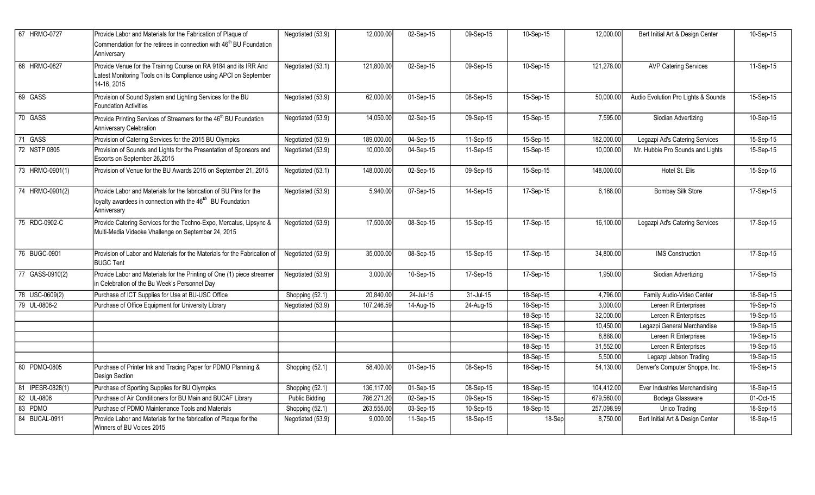| 67 HRMO-0727     | Provide Labor and Materials for the Fabrication of Plaque of                                                                                                | Negotiated (53.9)     | 12,000.00  | 02-Sep-15               | 09-Sep-15 | 10-Sep-15 | 12,000.00  | Bert Initial Art & Design Center    | 10-Sep-15 |
|------------------|-------------------------------------------------------------------------------------------------------------------------------------------------------------|-----------------------|------------|-------------------------|-----------|-----------|------------|-------------------------------------|-----------|
|                  | Commendation for the retirees in connection with 46 <sup>th</sup> BU Foundation<br>Anniversary                                                              |                       |            |                         |           |           |            |                                     |           |
| 68 HRMO-0827     | Provide Venue for the Training Course on RA 9184 and its IRR And<br>Latest Monitoring Tools on its Compliance using APCI on September<br>14-16, 2015        | Negotiated (53.1)     | 121,800.00 | 02-Sep-15               | 09-Sep-15 | 10-Sep-15 | 121,278.00 | <b>AVP Catering Services</b>        | 11-Sep-15 |
| 69 GASS          | Provision of Sound System and Lighting Services for the BU<br><b>Foundation Activities</b>                                                                  | Negotiated (53.9)     | 62,000.00  | 01-Sep-15               | 08-Sep-15 | 15-Sep-15 | 50,000.00  | Audio Evolution Pro Lights & Sounds | 15-Sep-15 |
| 70 GASS          | Provide Printing Services of Streamers for the 46 <sup>th</sup> BU Foundation<br>Anniversary Celebration                                                    | Negotiated (53.9)     | 14,050.00  | 02-Sep-15               | 09-Sep-15 | 15-Sep-15 | 7,595.00   | Siodian Advertizing                 | 10-Sep-15 |
| 71 GASS          | Provision of Catering Services for the 2015 BU Olympics                                                                                                     | Negotiated (53.9)     | 189,000.00 | 04-Sep-15               | 11-Sep-15 | 15-Sep-15 | 182,000.00 | Legazpi Ad's Catering Services      | 15-Sep-15 |
| 72 NSTP 0805     | Provision of Sounds and Lights for the Presentation of Sponsors and<br>Escorts on September 26,2015                                                         | Negotiated (53.9)     | 10,000.00  | 04-Sep-15               | 11-Sep-15 | 15-Sep-15 | 10,000.00  | Mr. Hubbie Pro Sounds and Lights    | 15-Sep-15 |
| 73 HRMO-0901(1)  | Provision of Venue for the BU Awards 2015 on September 21, 2015                                                                                             | Negotiated (53.1)     | 148,000.00 | 02-Sep-15               | 09-Sep-15 | 15-Sep-15 | 148,000.00 | Hotel St. Elis                      | 15-Sep-15 |
| 74 HRMO-0901(2)  | Provide Labor and Materials for the fabrication of BU Pins for the<br>loyalty awardees in connection with the 46 <sup>th</sup> BU Foundation<br>Anniversary | Negotiated (53.9)     | 5,940.00   | 07-Sep-15               | 14-Sep-15 | 17-Sep-15 | 6,168.00   | <b>Bombay Silk Store</b>            | 17-Sep-15 |
| 75 RDC-0902-C    | Provide Catering Services for the Techno-Expo, Mercatus, Lipsync &<br>Multi-Media Videoke Vhallenge on September 24, 2015                                   | Negotiated (53.9)     | 17,500.00  | 08-Sep-15               | 15-Sep-15 | 17-Sep-15 | 16,100.00  | Legazpi Ad's Catering Services      | 17-Sep-15 |
| 76 BUGC-0901     | Provision of Labor and Materials for the Materials for the Fabrication of<br><b>BUGC Tent</b>                                                               | Negotiated (53.9)     | 35,000.00  | 08-Sep-15               | 15-Sep-15 | 17-Sep-15 | 34,800.00  | <b>IMS</b> Construction             | 17-Sep-15 |
| 77 GASS-0910(2)  | Provide Labor and Materials for the Printing of One (1) piece streamer<br>in Celebration of the Bu Week's Personnel Day                                     | Negotiated (53.9)     | 3,000.00   | $10-Sep-15$             | 17-Sep-15 | 17-Sep-15 | 1,950.00   | Siodian Advertizing                 | 17-Sep-15 |
| 78 USC-0609(2)   | Purchase of ICT Supplies for Use at BU-USC Office                                                                                                           | Shopping (52.1)       | 20,840.00  | 24-Jul-15               | 31-Jul-15 | 18-Sep-15 | 4,796.00   | Family Audio-Video Center           | 18-Sep-15 |
| 79 UL-0806-2     | Purchase of Office Equipment for University Library                                                                                                         | Negotiated (53.9)     | 107,246.59 | $\overline{14}$ -Aug-15 | 24-Aug-15 | 18-Sep-15 | 3,000.00   | Lereen R Enterprises                | 19-Sep-15 |
|                  |                                                                                                                                                             |                       |            |                         |           | 18-Sep-15 | 32,000.00  | Lereen R Enterprises                | 19-Sep-15 |
|                  |                                                                                                                                                             |                       |            |                         |           | 18-Sep-15 | 10,450.00  | Legazpi General Merchandise         | 19-Sep-15 |
|                  |                                                                                                                                                             |                       |            |                         |           | 18-Sep-15 | 8,888.00   | Lereen R Enterprises                | 19-Sep-15 |
|                  |                                                                                                                                                             |                       |            |                         |           | 18-Sep-15 | 31,552.00  | Lereen R Enterprises                | 19-Sep-15 |
|                  |                                                                                                                                                             |                       |            |                         |           | 18-Sep-15 | 5,500.00   | Legazpi Jebson Trading              | 19-Sep-15 |
| 80 PDMO-0805     | Purchase of Printer Ink and Tracing Paper for PDMO Planning &<br>Design Section                                                                             | Shopping (52.1)       | 58,400.00  | 01-Sep-15               | 08-Sep-15 | 18-Sep-15 | 54,130.00  | Denver's Computer Shoppe, Inc.      | 19-Sep-15 |
| 81 IPESR-0828(1) | Purchase of Sporting Supplies for BU Olympics                                                                                                               | Shopping (52.1)       | 136,117.00 | 01-Sep-15               | 08-Sep-15 | 18-Sep-15 | 104,412.00 | Ever Industries Merchandising       | 18-Sep-15 |
| 82 UL-0806       | Purchase of Air Conditioners for BU Main and BUCAF Library                                                                                                  | <b>Public Bidding</b> | 786,271.20 | 02-Sep-15               | 09-Sep-15 | 18-Sep-15 | 679,560.00 | Bodega Glassware                    | 01-Oct-15 |
| 83 PDMO          | Purchase of PDMO Maintenance Tools and Materials                                                                                                            | Shopping (52.1)       | 263,555.00 | 03-Sep-15               | 10-Sep-15 | 18-Sep-15 | 257,098.99 | <b>Unico Trading</b>                | 18-Sep-15 |
| 84 BUCAL-0911    | Provide Labor and Materials for the fabrication of Plaque for the<br>Winners of BU Voices 2015                                                              | Negotiated (53.9)     | 9,000.00   | 11-Sep-15               | 18-Sep-15 | 18-Sep    | 8,750.00   | Bert Initial Art & Design Center    | 18-Sep-15 |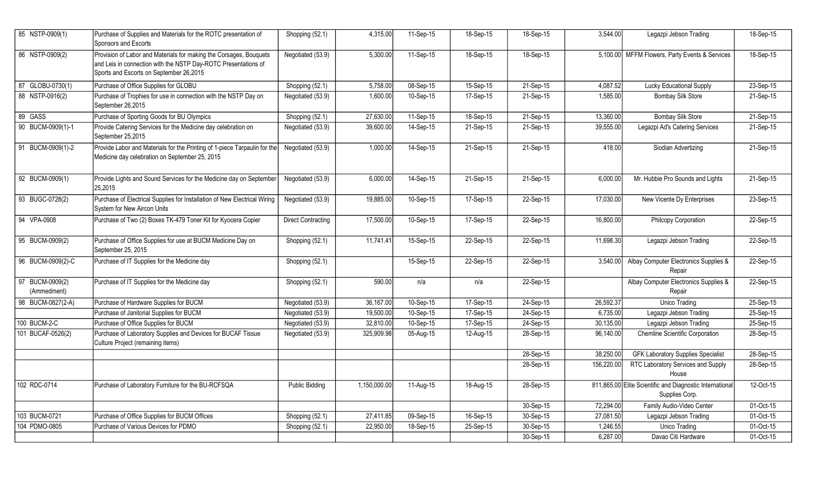| 85 NSTP-0909(1)                | Purchase of Supplies and Materials for the ROTC presentation of<br>Sponsors and Escorts                                                                                         | Shopping (52.1)           | 4,315.00     | 11-Sep-15               | 18-Sep-15 | 18-Sep-15 | 3,544.00   | Legazpi Jebson Trading                                                     | 18-Sep-15               |
|--------------------------------|---------------------------------------------------------------------------------------------------------------------------------------------------------------------------------|---------------------------|--------------|-------------------------|-----------|-----------|------------|----------------------------------------------------------------------------|-------------------------|
| 86 NSTP-0909(2)                | Provision of Labor and Materials for making the Corsages, Bouquets<br>and Leis in connection with the NSTP Day-ROTC Presentations of<br>Sports and Escorts on September 26,2015 | Negotiated (53.9)         | 5,300.00     | 11-Sep-15               | 18-Sep-15 | 18-Sep-15 |            | 5,100.00 MFFM Flowers, Party Events & Services                             | 18-Sep-15               |
| 87 GLOBU-0730(1)               | Purchase of Office Supplies for GLOBU                                                                                                                                           | Shopping (52.1)           | 5,758.00     | 08-Sep-15               | 15-Sep-15 | 21-Sep-15 | 4,087.52   | Lucky Educational Supply                                                   | 23-Sep-15               |
| 88 NSTP-0916(2)                | Purchase of Trophies for use in connection with the NSTP Day on<br>September 26.2015                                                                                            | Negotiated (53.9)         | 1,600.00     | 10-Sep-15               | 17-Sep-15 | 21-Sep-15 | 1,585.00   | <b>Bombay Silk Store</b>                                                   | 21-Sep-15               |
| 89 GASS                        | Purchase of Sporting Goods for BU Olympics                                                                                                                                      | Shopping (52.1)           | 27,630.00    | 11-Sep-15               | 18-Sep-15 | 21-Sep-15 | 13,360.00  | <b>Bombay Silk Store</b>                                                   | 21-Sep-15               |
| 90 BUCM-0909(1)-1              | Provide Catering Services for the Medicine day celebration on<br>September 25,2015                                                                                              | Negotiated (53.9)         | 39,600.00    | 14-Sep-15               | 21-Sep-15 | 21-Sep-15 | 39,555.00  | Legazpi Ad's Catering Services                                             | 21-Sep-15               |
| 91 BUCM-0909(1)-2              | Provide Labor and Materials for the Printing of 1-piece Tarpaulin for the<br>Medicine day celebration on September 25, 2015                                                     | Negotiated (53.9)         | 1,000.00     | 14-Sep-15               | 21-Sep-15 | 21-Sep-15 | 418.00     | Siodian Advertizing                                                        | $\overline{21}$ -Sep-15 |
| 92 BUCM-0909(1)                | Provide Lights and Sound Services for the Medicine day on September<br>25,2015                                                                                                  | Negotiated (53.9)         | 6,000.00     | 14-Sep-15               | 21-Sep-15 | 21-Sep-15 | 6,000.00   | Mr. Hubbie Pro Sounds and Lights                                           | 21-Sep-15               |
| 93 BUGC-0728(2)                | Purchase of Electrical Supplies for Installation of New Electrical Wiring<br>System for New Aircon Units                                                                        | Negotiated (53.9)         | 19,885.00    | 10-Sep-15               | 17-Sep-15 | 22-Sep-15 | 17,030.00  | New Vicente Dy Enterprises                                                 | 23-Sep-15               |
| 94 VPA-0908                    | Purchase of Two (2) Boxes TK-479 Toner Kit for Kyocera Copier                                                                                                                   | <b>Direct Contracting</b> | 17,500.00    | 10-Sep-15               | 17-Sep-15 | 22-Sep-15 | 16,800.00  | Philcopy Corporation                                                       | 22-Sep-15               |
| 95 BUCM-0909(2)                | Purchase of Office Supplies for use at BUCM Medicine Day on<br>September 25, 2015                                                                                               | Shopping (52.1)           | 11,741.41    | 15-Sep-15               | 22-Sep-15 | 22-Sep-15 | 11,698.30  | Legazpi Jebson Trading                                                     | $22-Sep-15$             |
| 96 BUCM-0909(2)-C              | Purchase of IT Supplies for the Medicine day                                                                                                                                    | Shopping (52.1)           |              | 15-Sep-15               | 22-Sep-15 | 22-Sep-15 | 3,540.00   | Albay Computer Electronics Supplies &<br>Repair                            | 22-Sep-15               |
| 97 BUCM-0909(2)<br>(Ammedment) | Purchase of IT Supplies for the Medicine day                                                                                                                                    | Shopping (52.1)           | 590.00       | n/a                     | n/a       | 22-Sep-15 |            | Albay Computer Electronics Supplies &<br>Repair                            | 22-Sep-15               |
| 98 BUCM-0827(2-A)              | Purchase of Hardware Supplies for BUCM                                                                                                                                          | Negotiated (53.9)         | 36,167.00    | 10-Sep-15               | 17-Sep-15 | 24-Sep-15 | 26,592.37  | Unico Trading                                                              | 25-Sep-15               |
|                                | Purchase of Janitorial Supplies for BUCM                                                                                                                                        | Negotiated (53.9)         | 19,500.00    | 10-Sep-15               | 17-Sep-15 | 24-Sep-15 | 6,735.00   | Legazpi Jebson Trading                                                     | 25-Sep-15               |
| 100 BUCM-2-C                   | Purchase of Office Supplies for BUCM                                                                                                                                            | Negotiated (53.9)         | 32,810.00    | 10-Sep-15               | 17-Sep-15 | 24-Sep-15 | 30,135.00  | Legazpi Jebson Trading                                                     | 25-Sep-15               |
| 101 BUCAF-0526(2)              | Purchase of Laboratory Supplies and Devices for BUCAF Tissue<br>Culture Project (remaining items)                                                                               | Negotiated (53.9)         | 325,909.98   | 05-Aug-15               | 12-Aug-15 | 28-Sep-15 | 96,140.00  | <b>Chemline Scientific Corporation</b>                                     | 28-Sep-15               |
|                                |                                                                                                                                                                                 |                           |              |                         |           | 28-Sep-15 | 38,250.00  | <b>GFK Laboratory Supplies Specialist</b>                                  | 28-Sep-15               |
|                                |                                                                                                                                                                                 |                           |              |                         |           | 28-Sep-15 | 156,220.00 | RTC Laboratory Services and Supply<br>House                                | 28-Sep-15               |
| 102 RDC-0714                   | Purchase of Laboratory Furniture for the BU-RCFSQA                                                                                                                              | <b>Public Bidding</b>     | 1,150,000.00 | $\overline{11}$ -Aug-15 | 18-Aug-15 | 28-Sep-15 |            | 811,865.00 Elite Scientific and Diagnostic International<br>Supplies Corp. | 12-Oct-15               |
|                                |                                                                                                                                                                                 |                           |              |                         |           | 30-Sep-15 | 72,294.00  | Family Audio-Video Center                                                  | 01-Oct-15               |
| 103 BUCM-0721                  | Purchase of Office Supplies for BUCM Offices                                                                                                                                    | Shopping (52.1)           | 27,411.85    | 09-Sep-15               | 16-Sep-15 | 30-Sep-15 | 27,081.50  | Legazpi Jebson Trading                                                     | 01-Oct-15               |
| 104 PDMO-0805                  | Purchase of Various Devices for PDMO                                                                                                                                            | Shopping (52.1)           | 22,950.00    | 18-Sep-15               | 25-Sep-15 | 30-Sep-15 | 1,246.55   | Unico Trading                                                              | 01-Oct-15               |
|                                |                                                                                                                                                                                 |                           |              |                         |           | 30-Sep-15 | 6,287.00   | Davao Citi Hardware                                                        | 01-Oct-15               |